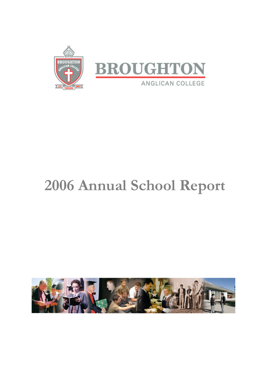

# 2006 Annual School Report

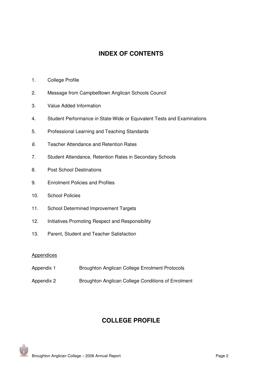## **INDEX OF CONTENTS**

- 1. College Profile
- 2. Message from Campbelltown Anglican Schools Council
- 3. Value Added Information
- 4. Student Performance in State-Wide or Equivalent Tests and Examinations
- 5. Professional Learning and Teaching Standards
- *6.* Teacher Attendance and Retention Rates
- 7. Student Attendance, Retention Rates in Secondary Schools
- 8. Post School Destinations
- 9. Enrolment Policies and Profiles
- 10. School Policies
- 11. School Determined Improvement Targets
- 12. Initiatives Promoting Respect and Responsibility
- 13. Parent, Student and Teacher Satisfaction

#### **Appendices**

- Appendix 1 Broughton Anglican College Enrolment Protocols
- Appendix 2 Broughton Anglican College Conditions of Enrolment

## **COLLEGE PROFILE**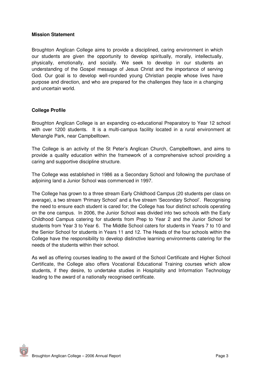#### **Mission Statement**

Broughton Anglican College aims to provide a disciplined, caring environment in which our students are given the opportunity to develop spiritually, morally, intellectually, physically, emotionally, and socially. We seek to develop in our students an understanding of the Gospel message of Jesus Christ and the importance of serving God. Our goal is to develop well-rounded young Christian people whose lives have purpose and direction, and who are prepared for the challenges they face in a changing and uncertain world.

#### **College Profile**

Broughton Anglican College is an expanding co-educational Preparatory to Year 12 school with over 1200 students. It is a multi-campus facility located in a rural environment at Menangle Park, near Campbelltown.

The College is an activity of the St Peter's Anglican Church, Campbelltown, and aims to provide a quality education within the framework of a comprehensive school providing a caring and supportive discipline structure.

The College was established in 1986 as a Secondary School and following the purchase of adjoining land a Junior School was commenced in 1997.

The College has grown to a three stream Early Childhood Campus (20 students per class on average), a two stream 'Primary School' and a five stream 'Secondary School'. Recognising the need to ensure each student is cared for; the College has four distinct schools operating on the one campus. In 2006, the Junior School was divided into two schools with the Early Childhood Campus catering for students from Prep to Year 2 and the Junior School for students from Year 3 to Year 6. The Middle School caters for students in Years 7 to 10 and the Senior School for students in Years 11 and 12. The Heads of the four schools within the College have the responsibility to develop distinctive learning environments catering for the needs of the students within their school.

As well as offering courses leading to the award of the School Certificate and Higher School Certificate, the College also offers Vocational Educational Training courses which allow students, if they desire, to undertake studies in Hospitality and Information Technology leading to the award of a nationally recognised certificate.

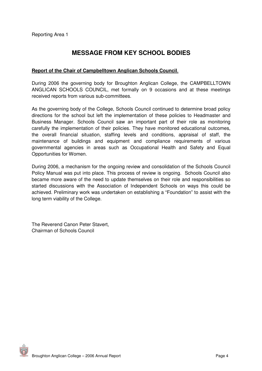## **MESSAGE FROM KEY SCHOOL BODIES**

#### **Report of the Chair of Campbelltown Anglican Schools Council**.

During 2006 the governing body for Broughton Anglican College, the CAMPBELLTOWN ANGLICAN SCHOOLS COUNCIL, met formally on 9 occasions and at these meetings received reports from various sub-committees.

As the governing body of the College, Schools Council continued to determine broad policy directions for the school but left the implementation of these policies to Headmaster and Business Manager. Schools Council saw an important part of their role as monitoring carefully the implementation of their policies. They have monitored educational outcomes, the overall financial situation, staffing levels and conditions, appraisal of staff, the maintenance of buildings and equipment and compliance requirements of various governmental agencies in areas such as Occupational Health and Safety and Equal Opportunities for Women.

During 2006, a mechanism for the ongoing review and consolidation of the Schools Council Policy Manual was put into place. This process of review is ongoing. Schools Council also became more aware of the need to update themselves on their role and responsibilities so started discussions with the Association of Independent Schools on ways this could be achieved. Preliminary work was undertaken on establishing a "Foundation" to assist with the long term viability of the College.

The Reverend Canon Peter Stavert, Chairman of Schools Council

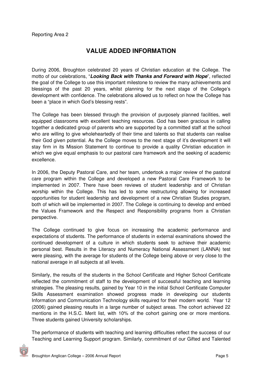## **VALUE ADDED INFORMATION**

During 2006, Broughton celebrated 20 years of Christian education at the College. The motto of our celebrations, "*Looking Back with Thanks and Forward with Hope*", reflected the goal of the College to use this important milestone to review the many achievements and blessings of the past 20 years, whilst planning for the next stage of the College's development with confidence. The celebrations allowed us to reflect on how the College has been a "place in which God's blessing rests".

The College has been blessed through the provision of purposely planned facilities, well equipped classrooms with excellent teaching resources. God has been gracious in calling together a dedicated group of parents who are supported by a committed staff at the school who are willing to give wholeheartedly of their time and talents so that students can realise their God given potential. As the College moves to the next stage of it's development it will stay firm in its Mission Statement to continue to provide a quality Christian education in which we give equal emphasis to our pastoral care framework and the seeking of academic excellence.

In 2006, the Deputy Pastoral Care, and her team, undertook a major review of the pastoral care program within the College and developed a new Pastoral Care Framework to be implemented in 2007. There have been reviews of student leadership and of Christian worship within the College. This has led to some restructuring allowing for increased opportunities for student leadership and development of a new Christian Studies program, both of which will be implemented in 2007. The College is continuing to develop and embed the Values Framework and the Respect and Responsibility programs from a Christian perspective.

The College continued to give focus on increasing the academic performance and expectations of students. The performance of students in external examinations showed the continued development of a culture in which students seek to achieve their academic personal best. Results in the Literacy and Numeracy National Assessment (LANNA) test were pleasing, with the average for students of the College being above or very close to the national average in all subjects at all levels.

Similarly, the results of the students in the School Certificate and Higher School Certificate reflected the commitment of staff to the development of successful teaching and learning strategies. The pleasing results, gained by Year 10 in the initial School Certificate Computer Skills Assessment examination showed progress made in developing our students Information and Communication Technology skills required for their modern world. Year 12 (2006) gained pleasing results in a large number of subject areas. The cohort achieved 22 mentions in the H.S.C. Merit list, with 10% of the cohort gaining one or more mentions. Three students gained University scholarships.

The performance of students with teaching and learning difficulties reflect the success of our Teaching and Learning Support program. Similarly, commitment of our Gifted and Talented

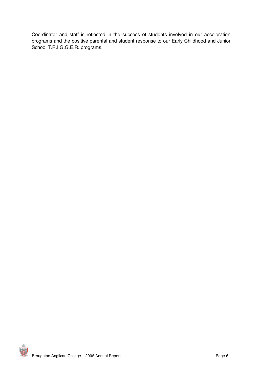Coordinator and staff is reflected in the success of students involved in our acceleration programs and the positive parental and student response to our Early Childhood and Junior School T.R.I.G.G.E.R. programs.

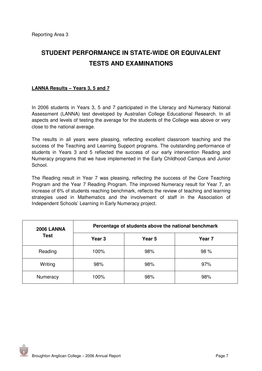# **STUDENT PERFORMANCE IN STATE-WIDE OR EQUIVALENT TESTS AND EXAMINATIONS**

#### **LANNA Results – Years 3, 5 and 7**

In 2006 students in Years 3, 5 and 7 participated in the Literacy and Numeracy National Assessment (LANNA) test developed by Australian College Educational Research. In all aspects and levels of testing the average for the students of the College was above or very close to the national average.

The results in all years were pleasing, reflecting excellent classroom teaching and the success of the Teaching and Learning Support programs. The outstanding performance of students in Years 3 and 5 reflected the success of our early intervention Reading and Numeracy programs that we have implemented in the Early Childhood Campus and Junior School.

The Reading result in Year 7 was pleasing, reflecting the success of the Core Teaching Program and the Year 7 Reading Program. The improved Numeracy result for Year 7, an increase of 6% of students reaching benchmark, reflects the review of teaching and learning strategies used in Mathematics and the involvement of staff in the Association of Independent Schools' Learning in Early Numeracy project.

| <b>2006 LANNA</b> | Percentage of students above the national benchmark |        |                   |  |  |  |  |
|-------------------|-----------------------------------------------------|--------|-------------------|--|--|--|--|
| <b>Test</b>       | Year 3                                              | Year 5 | Year <sub>7</sub> |  |  |  |  |
| Reading           | 100%                                                | 98%    | 98 %              |  |  |  |  |
| Writing           | 98%                                                 | 98%    | 97%               |  |  |  |  |
| Numeracy          | 100%                                                | 98%    | 98%               |  |  |  |  |

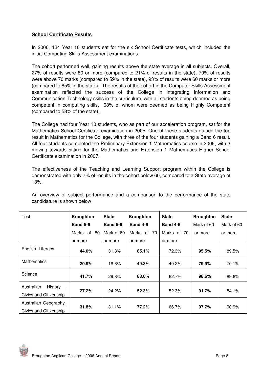#### **School Certificate Results**

In 2006, 134 Year 10 students sat for the six School Certificate tests, which included the initial Computing Skills Assessment examinations.

The cohort performed well, gaining results above the state average in all subjects. Overall, 27% of results were 80 or more (compared to 21% of results in the state), 70% of results were above 70 marks (compared to 59% in the state), 93% of results were 60 marks or more (compared to 85% in the state). The results of the cohort in the Computer Skills Assessment examination reflected the success of the College in integrating Information and Communication Technology skills in the curriculum, with all students being deemed as being competent in computing skills, 68% of whom were deemed as being Highly Competent (compared to 58% of the state).

The College had four Year 10 students, who as part of our acceleration program, sat for the Mathematics School Certificate examination in 2005. One of these students gained the top result in Mathematics for the College, with three of the four students gaining a Band 6 result. All four students completed the Preliminary Extension 1 Mathematics course in 2006, with 3 moving towards sitting for the Mathematics and Extension 1 Mathematics Higher School Certificate examination in 2007.

The effectiveness of the Teaching and Learning Support program within the College is demonstrated with only 7% of results in the cohort below 60, compared to a State average of 13%.

An overview of subject performance and a comparison to the performance of the state candidature is shown below:

| Test                                                                        | <b>Broughton</b> | <b>State</b>    | <b>Broughton</b> | <b>State</b>    | <b>Broughton</b> | <b>State</b> |
|-----------------------------------------------------------------------------|------------------|-----------------|------------------|-----------------|------------------|--------------|
|                                                                             | <b>Band 5-6</b>  | <b>Band 5-6</b> | <b>Band 4-6</b>  | <b>Band 4-6</b> | Mark of 60       | Mark of 60   |
|                                                                             | Marks of 80      | Mark of 80      | Marks of 70      | Marks of 70     | or more          | or more      |
|                                                                             | or more          | or more         | or more          | or more         |                  |              |
| English-Literacy                                                            | 44.0%            | 31.3%           | 85.1%            | 72.3%           | 95.5%            | 89.5%        |
| <b>Mathematics</b>                                                          | 20.9%            | 18.6%           | 49.3%            | 40.2%           | 79.9%            | 70.1%        |
| Science                                                                     | 41.7%            | 29.8%           | 83.6%            | 62.7%           | 98.6%            | 89.6%        |
| Australian<br>History<br>$\overline{\phantom{a}}$<br>Civics and Citizenship | 27.2%            | 24.2%           | 52.3%            | 52.3%           | 91.7%            | 84.1%        |
| Australian Geography,<br>Civics and Citizenship                             | 31.8%            | 31.1%           | 77.2%            | 66.7%           | 97.7%            | 90.9%        |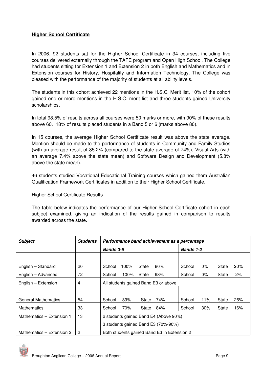#### **Higher School Certificate**

In 2006, 92 students sat for the Higher School Certificate in 34 courses, including five courses delivered externally through the TAFE program and Open High School. The College had students sitting for Extension 1 and Extension 2 in both English and Mathematics and in Extension courses for History, Hospitality and Information Technology. The College was pleased with the performance of the majority of students at all ability levels.

The students in this cohort achieved 22 mentions in the H.S.C. Merit list, 10% of the cohort gained one or more mentions in the H.S.C. merit list and three students gained University scholarships.

In total 98.5% of results across all courses were 50 marks or more, with 90% of these results above 60. 18% of results placed students in a Band 5 or 6 (marks above 80).

In 15 courses, the average Higher School Certificate result was above the state average. Mention should be made to the performance of students in Community and Family Studies (with an average result of 85.2% (compared to the state average of 74%), Visual Arts (with an average 7.4% above the state mean) and Software Design and Development (5.8% above the state mean).

46 students studied Vocational Educational Training courses which gained them Australian Qualification Framework Certificates in addition to their Higher School Certificate.

#### **Higher School Certificate Results**

The table below indicates the performance of our Higher School Certificate cohort in each subject examined, giving an indication of the results gained in comparison to results awarded across the state.

| <b>Subject</b>             | <b>Students</b> | Performance band achievement as a percentage |      |       |                                             |                  |       |       |     |
|----------------------------|-----------------|----------------------------------------------|------|-------|---------------------------------------------|------------------|-------|-------|-----|
|                            |                 | <b>Bands 3-6</b>                             |      |       |                                             | <b>Bands 1-2</b> |       |       |     |
|                            |                 |                                              |      |       |                                             |                  |       |       |     |
| English - Standard         | 20              | School                                       | 100% | State | 80%                                         | School           | $0\%$ | State | 20% |
| English - Advanced         | 72              | School                                       | 100% | State | 98%                                         | School           | $0\%$ | State | 2%  |
| English – Extension        | 4               |                                              |      |       | All students gained Band E3 or above        |                  |       |       |     |
|                            |                 |                                              |      |       |                                             |                  |       |       |     |
| <b>General Mathematics</b> | 54              | School                                       | 89%  | State | 74%                                         | School           | 11%   | State | 26% |
| <b>Mathematics</b>         | 33              | School                                       | 70%  | State | 84%                                         | School           | 30%   | State | 16% |
| Mathematics - Extension 1  | 13              | 2 students gained Band E4 (Above 90%)        |      |       |                                             |                  |       |       |     |
|                            |                 | 3 students gained Band E3 (70%-90%)          |      |       |                                             |                  |       |       |     |
| Mathematics - Extension 2  | 2               |                                              |      |       | Both students gained Band E3 in Extension 2 |                  |       |       |     |

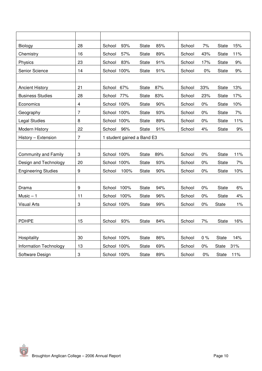| Biology                     | 28 | School      | 93%                        | State        | 85% | School | 7%    | <b>State</b> | 15% |
|-----------------------------|----|-------------|----------------------------|--------------|-----|--------|-------|--------------|-----|
| Chemistry                   | 16 | School      | 57%                        | <b>State</b> | 89% | School | 43%   | <b>State</b> | 11% |
| Physics                     | 23 | School      | 83%                        | State        | 91% | School | 17%   | <b>State</b> | 9%  |
| Senior Science              | 14 | School 100% |                            | <b>State</b> | 91% | School | 0%    | <b>State</b> | 9%  |
|                             |    |             |                            |              |     |        |       |              |     |
| <b>Ancient History</b>      | 21 | School 67%  |                            | <b>State</b> | 87% | School | 33%   | <b>State</b> | 13% |
| <b>Business Studies</b>     | 28 | School 77%  |                            | State        | 83% | School | 23%   | <b>State</b> | 17% |
| Economics                   | 4  | School 100% |                            | <b>State</b> | 90% | School | $0\%$ | <b>State</b> | 10% |
| Geography                   | 7  | School 100% |                            | <b>State</b> | 93% | School | $0\%$ | <b>State</b> | 7%  |
| Legal Studies               | 8  | School 100% |                            | <b>State</b> | 89% | School | $0\%$ | <b>State</b> | 11% |
| Modern History              | 22 | School      | 96%                        | State        | 91% | School | 4%    | <b>State</b> | 9%  |
| History - Extension         | 7  |             | 1 student gained a Band E3 |              |     |        |       |              |     |
|                             |    |             |                            |              |     |        |       |              |     |
| <b>Community and Family</b> | 3  | School 100% |                            | <b>State</b> | 89% | School | 0%    | <b>State</b> | 11% |
| Design and Technology       | 20 | School 100% |                            | <b>State</b> | 93% | School | $0\%$ | <b>State</b> | 7%  |
| <b>Engineering Studies</b>  | 9  | School      | 100%                       | State        | 90% | School | $0\%$ | <b>State</b> | 10% |
|                             |    |             |                            |              |     |        |       |              |     |
| Drama                       | 9  | School 100% |                            | <b>State</b> | 94% | School | $0\%$ | <b>State</b> | 6%  |
| $Music - 1$                 | 11 | School 100% |                            | State        | 96% | School | $0\%$ | <b>State</b> | 4%  |
| <b>Visual Arts</b>          | 3  | School 100% |                            | <b>State</b> | 99% | School | $0\%$ | <b>State</b> | 1%  |
|                             |    |             |                            |              |     |        |       |              |     |
| <b>PDHPE</b>                | 15 | School      | 93%                        | State        | 84% | School | 7%    | <b>State</b> | 16% |
|                             |    |             |                            |              |     |        |       |              |     |
| Hospitality                 | 30 | School 100% |                            | <b>State</b> | 86% | School | 0%    | State        | 14% |
| Information Technology      | 13 | School 100% |                            | <b>State</b> | 69% | School | $0\%$ | <b>State</b> | 31% |
| Software Design             | 3  | School 100% |                            | State        | 89% | School | $0\%$ | <b>State</b> | 11% |

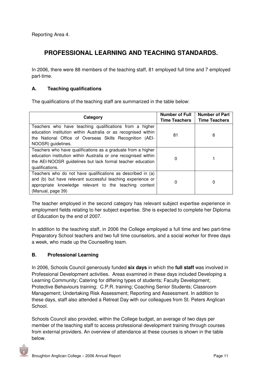Reporting Area 4.

## **PROFESSIONAL LEARNING AND TEACHING STANDARDS.**

In 2006, there were 88 members of the teaching staff, 81 employed full time and 7 employed part-time.

#### **A. Teaching qualifications**

The qualifications of the teaching staff are summarized in the table below:

| Category                                                                                                                                                                                                         | <b>Number of Full</b><br><b>Time Teachers</b> | <b>Number of Part</b><br><b>Time Teachers</b> |
|------------------------------------------------------------------------------------------------------------------------------------------------------------------------------------------------------------------|-----------------------------------------------|-----------------------------------------------|
| Teachers who have teaching qualifications from a higher<br>education institution within Australia or as recognised within<br>the National Office of Overseas Skills Recognition (AEI-<br>NOOSR) guidelines.      | 81                                            | 6                                             |
| Teachers who have qualifications as a graduate from a higher<br>education institution within Australia or one recognised within<br>the AEI-NOOSR guidelines but lack formal teacher education<br>qualifications. |                                               |                                               |
| Teachers who do not have qualifications as described in (a)<br>and (b) but have relevant successful teaching experience or<br>appropriate knowledge relevant to the teaching context<br>(Manual, page 39)        | 0                                             | 0                                             |

The teacher employed in the second category has relevant subject expertise experience in employment fields relating to her subject expertise. She is expected to complete her Diploma of Education by the end of 2007.

In addition to the teaching staff, in 2006 the College employed a full time and two part-time Preparatory School teachers and two full time counselors, and a social worker for three days a week, who made up the Counselling team.

#### **B. Professional Learning**

In 2006, Schools Council generously funded **six days** in which the **full staff** was involved in Professional Development activities. Areas examined in these days included Developing a Learning Community; Catering for differing types of students; Faculty Development; Protective Behaviours training; C.P.R. training; Coaching Senior Students; Classroom Management; Undertaking Risk Assessment; Reporting and Assessment. In addition to these days, staff also attended a Retreat Day with our colleagues from St. Peters Anglican School.

Schools Council also provided, within the College budget, an average of two days per member of the teaching staff to access professional development training through courses from external providers. An overview of attendance at these courses is shown in the table below.

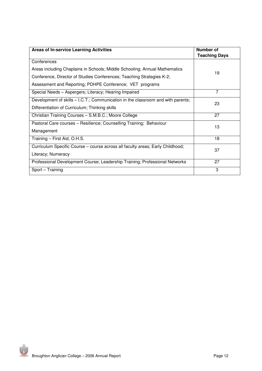| <b>Areas of In-service Learning Activities</b>                                   | <b>Number of</b><br><b>Teaching Days</b> |
|----------------------------------------------------------------------------------|------------------------------------------|
| Conferences                                                                      |                                          |
| Areas including Chaplains in Schools; Middle Schooling; Annual Mathematics       | 19                                       |
| Conference, Director of Studies Conferences; Teaching Strategies K-2;            |                                          |
| Assessment and Reporting; PDHPE Conference; VET programs                         |                                          |
| Special Needs - Aspergers; Literacy; Hearing Impaired                            | 7                                        |
| Development of skills – I.C.T.; Communication in the classroom and with parents; | 23                                       |
| Differentiation of Curriculum; Thinking skills                                   |                                          |
| Christian Training Courses - S.M.B.C.; Moore College                             | 27                                       |
| Pastoral Care courses - Resilience; Counselling Training; Behaviour              | 13                                       |
| Management                                                                       |                                          |
| Training - First Aid, O.H.S.                                                     | 18                                       |
| Curriculum Specific Course – course across all faculty areas; Early Childhood;   | 37                                       |
| Literacy; Numeracy                                                               |                                          |
| Professional Development Course; Leadership Training; Professional Networks      | 27                                       |
| Sport - Training                                                                 | 3                                        |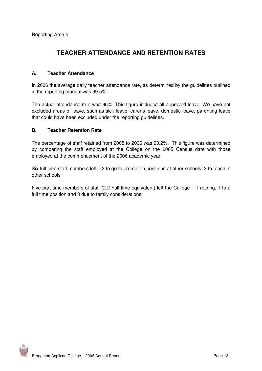Reporting Area 5

## **TEACHER ATTENDANCE AND RETENTION RATES**

#### **A. Teacher Attendance**

In 2006 the average daily teacher attendance rate, as determined by the guidelines outlined in the reporting manual was 99.5%.

The actual attendance rate was 96%. This figure includes all approved leave. We have not excluded areas of leave, such as sick leave, carer's leave, domestic leave, parenting leave that could have been excluded under the reporting guidelines.

#### **B. Teacher Retention Rate**

The percentage of staff retained from 2005 to 2006 was 90.2%. This figure was determined by comparing the staff employed at the College on the 2005 Census date with those employed at the commencement of the 2006 academic year.

Six full time staff members left – 3 to go to promotion positions at other schools; 3 to teach in other schools

Five part time members of staff (2.2 Full time equivalent) left the College – 1 retiring, 1 to a full time position and 3 due to family considerations.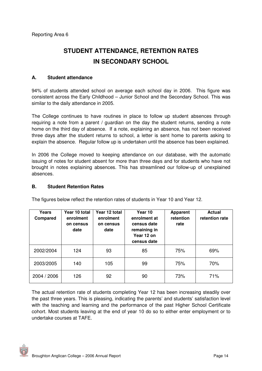# **STUDENT ATTENDANCE, RETENTION RATES IN SECONDARY SCHOOL**

#### **A. Student attendance**

94% of students attended school on average each school day in 2006. This figure was consistent across the Early Childhood – Junior School and the Secondary School. This was similar to the daily attendance in 2005.

The College continues to have routines in place to follow up student absences through requiring a note from a parent / guardian on the day the student returns, sending a note home on the third day of absence. If a note, explaining an absence, has not been received three days after the student returns to school, a letter is sent home to parents asking to explain the absence. Regular follow up is undertaken until the absence has been explained.

In 2006 the College moved to keeping attendance on our database, with the automatic issuing of notes for student absent for more than three days and for students who have not brought in notes explaining absences. This has streamlined our follow-up of unexplained absences.

#### **B. Student Retention Rates**

| Years<br>Compared | Year 10 total<br>enrolment<br>on census<br>date | Year 12 total<br>enrolment<br>on census<br>date | Year 10<br>enrolment at<br>census date<br>remaining in<br>Year 12 on<br>census date | <b>Apparent</b><br>retention<br>rate | <b>Actual</b><br>retention rate |
|-------------------|-------------------------------------------------|-------------------------------------------------|-------------------------------------------------------------------------------------|--------------------------------------|---------------------------------|
| 2002/2004         | 124                                             | 93                                              | 85                                                                                  | 75%                                  | 69%                             |
| 2003/2005         | 140                                             | 105                                             | 99                                                                                  | 75%                                  | 70%                             |
| 2004 / 2006       | 126                                             | 92                                              | 90                                                                                  | 73%                                  | 71%                             |

The figures below reflect the retention rates of students in Year 10 and Year 12.

The actual retention rate of students completing Year 12 has been increasing steadily over the past three years. This is pleasing, indicating the parents' and students' satisfaction level with the teaching and learning and the performance of the past Higher School Certificate cohort. Most students leaving at the end of year 10 do so to either enter employment or to undertake courses at TAFE.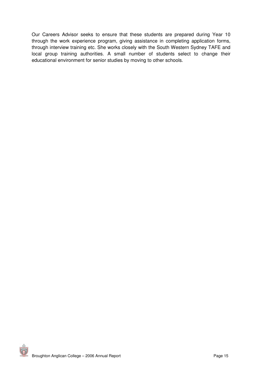Our Careers Advisor seeks to ensure that these students are prepared during Year 10 through the work experience program, giving assistance in completing application forms, through interview training etc. She works closely with the South Western Sydney TAFE and local group training authorities. A small number of students select to change their educational environment for senior studies by moving to other schools.

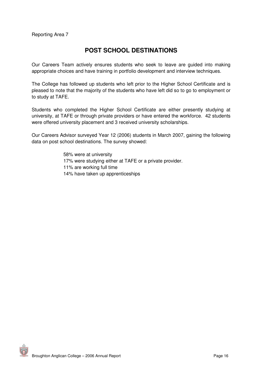Reporting Area 7

## **POST SCHOOL DESTINATIONS**

Our Careers Team actively ensures students who seek to leave are guided into making appropriate choices and have training in portfolio development and interview techniques.

The College has followed up students who left prior to the Higher School Certificate and is pleased to note that the majority of the students who have left did so to go to employment or to study at TAFE.

Students who completed the Higher School Certificate are either presently studying at university, at TAFE or through private providers or have entered the workforce. 42 students were offered university placement and 3 received university scholarships.

Our Careers Advisor surveyed Year 12 (2006) students in March 2007, gaining the following data on post school destinations. The survey showed:

> 58% were at university 17% were studying either at TAFE or a private provider. 11% are working full time 14% have taken up apprenticeships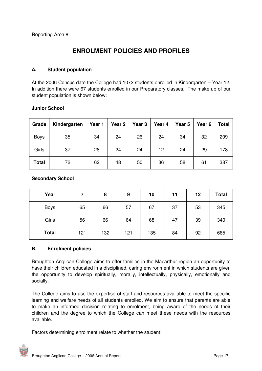## **ENROLMENT POLICIES AND PROFILES**

#### **A. Student population**

At the 2006 Census date the College had 1072 students enrolled in Kindergarten – Year 12. In addition there were 67 students enrolled in our Preparatory classes. The make up of our student population is shown below:

#### **Junior School**

| Grade        | Kindergarten | Year 1 | Year 2 $ $ | Year 3 | Year 4 | Year 5 | Year 6 | <b>Total</b> |
|--------------|--------------|--------|------------|--------|--------|--------|--------|--------------|
| <b>Boys</b>  | 35           | 34     | 24         | 26     | 24     | 34     | 32     | 209          |
| Girls        | 37           | 28     | 24         | 24     | 12     | 24     | 29     | 178          |
| <b>Total</b> | 72           | 62     | 48         | 50     | 36     | 58     | 61     | 387          |

#### **Secondary School**

| Year         |     | 8   | 9   | 10  | 11 | 12 | <b>Total</b> |
|--------------|-----|-----|-----|-----|----|----|--------------|
| <b>Boys</b>  | 65  | 66  | 57  | 67  | 37 | 53 | 345          |
| Girls        | 56  | 66  | 64  | 68  | 47 | 39 | 340          |
| <b>Total</b> | 121 | 132 | 121 | 135 | 84 | 92 | 685          |

#### **B. Enrolment policies**

Broughton Anglican College aims to offer families in the Macarthur region an opportunity to have their children educated in a disciplined, caring environment in which students are given the opportunity to develop spiritually, morally, intellectually, physically, emotionally and socially.

The College aims to use the expertise of staff and resources available to meet the specific learning and welfare needs of all students enrolled. We aim to ensure that parents are able to make an informed decision relating to enrolment, being aware of the needs of their children and the degree to which the College can meet these needs with the resources available.

Factors determining enrolment relate to whether the student:

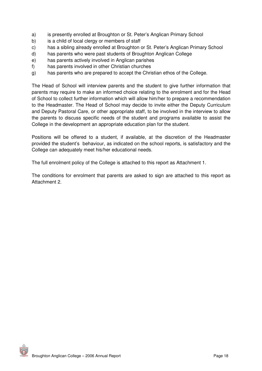- a) is presently enrolled at Broughton or St. Peter's Anglican Primary School
- b) is a child of local clergy or members of staff
- c) has a sibling already enrolled at Broughton or St. Peter's Anglican Primary School
- d) has parents who were past students of Broughton Anglican College
- e) has parents actively involved in Anglican parishes
- f) has parents involved in other Christian churches
- g) has parents who are prepared to accept the Christian ethos of the College.

The Head of School will interview parents and the student to give further information that parents may require to make an informed choice relating to the enrolment and for the Head of School to collect further information which will allow him/her to prepare a recommendation to the Headmaster. The Head of School may decide to invite either the Deputy Curriculum and Deputy Pastoral Care, or other appropriate staff, to be involved in the interview to allow the parents to discuss specific needs of the student and programs available to assist the College in the development an appropriate education plan for the student.

Positions will be offered to a student, if available, at the discretion of the Headmaster provided the student's behaviour, as indicated on the school reports, is satisfactory and the College can adequately meet his/her educational needs.

The full enrolment policy of the College is attached to this report as Attachment 1.

The conditions for enrolment that parents are asked to sign are attached to this report as Attachment 2.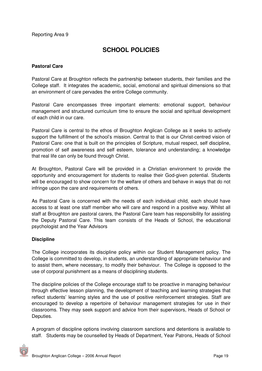Reporting Area 9

## **SCHOOL POLICIES**

#### **Pastoral Care**

Pastoral Care at Broughton reflects the partnership between students, their families and the College staff. It integrates the academic, social, emotional and spiritual dimensions so that an environment of care pervades the entire College community.

Pastoral Care encompasses three important elements: emotional support, behaviour management and structured curriculum time to ensure the social and spiritual development of each child in our care.

Pastoral Care is central to the ethos of Broughton Anglican College as it seeks to actively support the fulfillment of the school's mission. Central to that is our Christ-centred vision of Pastoral Care: one that is built on the principles of Scripture, mutual respect, self discipline, promotion of self awareness and self esteem, tolerance and understanding; a knowledge that real life can only be found through Christ.

At Broughton, Pastoral Care will be provided in a Christian environment to provide the opportunity and encouragement for students to realise their God-given potential. Students will be encouraged to show concern for the welfare of others and behave in ways that do not infringe upon the care and requirements of others.

As Pastoral Care is concerned with the needs of each individual child, each should have access to at least one staff member who will care and respond in a positive way. Whilst all staff at Broughton are pastoral carers, the Pastoral Care team has responsibility for assisting the Deputy Pastoral Care. This team consists of the Heads of School, the educational psychologist and the Year Advisors

#### **Discipline**

The College incorporates its discipline policy within our Student Management policy. The College is committed to develop, in students, an understanding of appropriate behaviour and to assist them, where necessary, to modify their behaviour. The College is opposed to the use of corporal punishment as a means of disciplining students.

The discipline policies of the College encourage staff to be proactive in managing behaviour through effective lesson planning, the development of teaching and learning strategies that reflect students' learning styles and the use of positive reinforcement strategies. Staff are encouraged to develop a repertoire of behaviour management strategies for use in their classrooms. They may seek support and advice from their supervisors, Heads of School or Deputies.

A program of discipline options involving classroom sanctions and detentions is available to staff. Students may be counselled by Heads of Department, Year Patrons, Heads of School

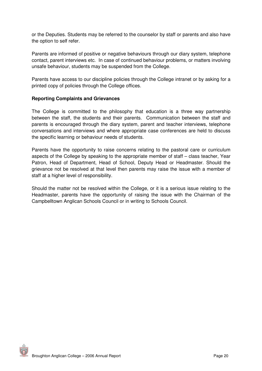or the Deputies. Students may be referred to the counselor by staff or parents and also have the option to self refer.

Parents are informed of positive or negative behaviours through our diary system, telephone contact, parent interviews etc. In case of continued behaviour problems, or matters involving unsafe behaviour, students may be suspended from the College.

Parents have access to our discipline policies through the College intranet or by asking for a printed copy of policies through the College offices.

#### **Reporting Complaints and Grievances**

The College is committed to the philosophy that education is a three way partnership between the staff, the students and their parents. Communication between the staff and parents is encouraged through the diary system, parent and teacher interviews, telephone conversations and interviews and where appropriate case conferences are held to discuss the specific learning or behaviour needs of students.

Parents have the opportunity to raise concerns relating to the pastoral care or curriculum aspects of the College by speaking to the appropriate member of staff – class teacher, Year Patron, Head of Department, Head of School, Deputy Head or Headmaster. Should the grievance not be resolved at that level then parents may raise the issue with a member of staff at a higher level of responsibility.

Should the matter not be resolved within the College, or it is a serious issue relating to the Headmaster, parents have the opportunity of raising the issue with the Chairman of the Campbelltown Anglican Schools Council or in writing to Schools Council*.*

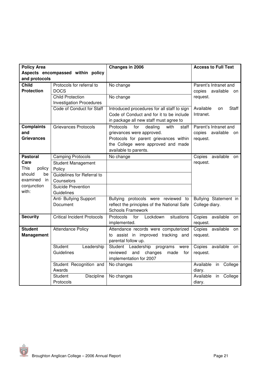| <b>Policy Area</b>       |                                    | Changes in 2006                                                                     | <b>Access to Full Text</b> |
|--------------------------|------------------------------------|-------------------------------------------------------------------------------------|----------------------------|
|                          | Aspects encompassed within policy  |                                                                                     |                            |
| and protocols            |                                    |                                                                                     |                            |
| <b>Child</b>             | Protocols for referral to          | No change                                                                           | Parent's Intranet and      |
| <b>Protection</b>        | <b>DOCS</b>                        |                                                                                     | copies available on        |
|                          | <b>Child Protection</b>            | No change                                                                           | request.                   |
|                          | <b>Investigation Procedures</b>    |                                                                                     |                            |
|                          | Code of Conduct for Staff          | Introduced procedures for all staff to sign                                         | Available<br>Staff<br>on   |
|                          |                                    | Code of Conduct and for it to be include                                            | Intranet.                  |
|                          |                                    | in package all new staff must agree to                                              |                            |
| <b>Complaints</b>        | <b>Grievances Protocols</b>        | Protocols<br>for<br>dealing<br>with<br>staff                                        | Parent's Intranet and      |
| and<br><b>Grievances</b> |                                    | grievances were approved.                                                           | copies available<br>on     |
|                          |                                    | Protocols for parent grievances within<br>the College were approved and made        | request.                   |
|                          |                                    | available to parents.                                                               |                            |
| <b>Pastoral</b>          | <b>Camping Protocols</b>           | No change                                                                           | Copies available<br>on     |
| Care                     | <b>Student Management</b>          |                                                                                     | request.                   |
| This<br>policy           | Policy                             |                                                                                     |                            |
| should<br>be             | Guidelines for Referral to         |                                                                                     |                            |
| examined<br>in.          | Counselors                         |                                                                                     |                            |
| conjunction              | Suicide Prevention                 |                                                                                     |                            |
| with:                    | Guidelines                         |                                                                                     |                            |
|                          | Anti- Bullying Support             | Bullying protocols were reviewed to                                                 | Bullying Statement in      |
|                          | Document                           | reflect the principles of the National Safe                                         | College diary.             |
|                          |                                    | <b>Schools Framework</b>                                                            |                            |
| <b>Security</b>          | <b>Critical Incident Protocols</b> | for<br>Lockdown<br>Protocols<br>situations                                          | Copies available<br>on     |
|                          |                                    | implemented.                                                                        | request.                   |
| <b>Student</b>           | <b>Attendance Policy</b>           | Attendance records were computerized                                                | Copies available<br>on     |
| <b>Management</b>        |                                    | to assist in improved tracking and                                                  | request.                   |
|                          | <b>Student</b>                     | parental follow up.                                                                 |                            |
|                          | Leadership<br>Guidelines           | Student Leadership<br>programs<br>were<br>and<br>reviewed<br>changes<br>made<br>for | Copies available<br>on     |
|                          |                                    | implementation for 2007                                                             | request.                   |
|                          | Student Recognition and            | No changes                                                                          | Available<br>College<br>in |
|                          | Awards                             |                                                                                     | diary.                     |
|                          | <b>Student</b><br>Discipline       | No changes                                                                          | Available<br>College<br>in |
|                          | Protocols                          |                                                                                     | diary.                     |

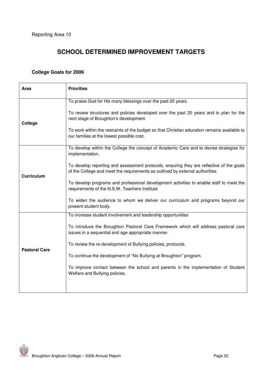## **SCHOOL DETERMINED IMPROVEMENT TARGETS**

## **College Goals for 2006**

| Area                 | <b>Priorities</b>                                                                                                                                                         |
|----------------------|---------------------------------------------------------------------------------------------------------------------------------------------------------------------------|
|                      | To praise God for His many blessings over the past 20 years.                                                                                                              |
| College              | To review structures and policies developed over the past 20 years and to plan for the<br>next stage of Broughton's development.                                          |
|                      | To work within the restraints of the budget so that Christian education remains available to<br>our families at the lowest possible cost.                                 |
|                      | To develop within the College the concept of Academic Care and to devise strategies for<br>implementation.                                                                |
| <b>Curriculum</b>    | To develop reporting and assessment protocols, ensuring they are reflective of the goals<br>of the College and meet the requirements as outlined by external authorities. |
|                      | To develop programs and professional development activities to enable staff to meet the<br>requirements of the N.S.W. Teachers Institute                                  |
|                      | To widen the audience to whom we deliver our curriculum and programs beyond our<br>present student body.                                                                  |
|                      | To increase student involvement and leadership opportunities                                                                                                              |
|                      | To introduce the Broughton Pastoral Care Framework which will address pastoral care<br>issues in a sequential and age appropriate manner.                                 |
| <b>Pastoral Care</b> | To review the re-development of Bullying policies, protocols.                                                                                                             |
|                      | To continue the development of "No Bullying at Broughton" program.                                                                                                        |
|                      | To improve contact between the school and parents in the implementation of Student<br>Welfare and Bullying policies.                                                      |
|                      |                                                                                                                                                                           |

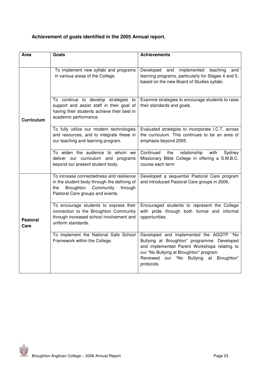## **Achievement of goals identified in the 2005 Annual report.**

| Area                    | Goals                                                                                                                                                                   | <b>Achievements</b>                                                                                                                                                                                                                              |  |  |
|-------------------------|-------------------------------------------------------------------------------------------------------------------------------------------------------------------------|--------------------------------------------------------------------------------------------------------------------------------------------------------------------------------------------------------------------------------------------------|--|--|
|                         |                                                                                                                                                                         |                                                                                                                                                                                                                                                  |  |  |
|                         | To implement new syllabi and programs<br>in various areas of the College.                                                                                               | implemented teaching<br>Developed<br>and<br>and<br>learning programs, particularly for Stages 4 and 5,<br>based on the new Board of Studies syllabi.                                                                                             |  |  |
| <b>Curriculum</b>       | To continue to develop strategies to<br>support and assist staff in their goal of<br>having their students achieve their best in<br>academic performance.               | Examine strategies to encourage students to raise<br>their standards and goals.                                                                                                                                                                  |  |  |
|                         | To fully utilize our modern technologies<br>and resources, and to integrate these in<br>our teaching and learning program.                                              | Evaluated strategies to incorporate I.C.T. across<br>the curriculum. This continues to be an area of<br>emphasis beyond 2005.                                                                                                                    |  |  |
|                         | To widen the audience to whom we<br>deliver our curriculum and programs<br>beyond our present student body.                                                             | Continued<br>relationship<br>with<br>the<br>Sydney<br>Missionary Bible College in offering a S.M.B.C.<br>course each term                                                                                                                        |  |  |
|                         | To increase connectedness and resilience<br>in the student body through the defining of<br>Broughton<br>Community<br>through<br>the<br>Pastoral Care groups and events. | Developed a sequential Pastoral Care program<br>and introduced Pastoral Care groups in 2006.                                                                                                                                                     |  |  |
| <b>Pastoral</b><br>Care | To encourage students to express their<br>connection to the Broughton Community<br>through increased school involvement and<br>uniform standards.                       | Encouraged students to represent the College<br>with pride through both formal and informal<br>opportunities.                                                                                                                                    |  |  |
|                         | To implement the National Safe School<br>Framework within the College.                                                                                                  | Developed and implemented the AGQTP "No<br>Bullying at Broughton" programme. Developed<br>and implemented Parent Workshops relating to<br>our "No Bullying at Broughton" program.<br>Reviewed our "No<br>Bullying<br>at Broughton"<br>protocols. |  |  |

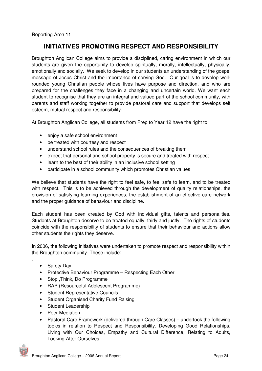Reporting Area 11

## **INITIATIVES PROMOTING RESPECT AND RESPONSIBILITY**

Broughton Anglican College aims to provide a disciplined, caring environment in which our students are given the opportunity to develop spiritually, morally, intellectually, physically, emotionally and socially. We seek to develop in our students an understanding of the gospel message of Jesus Christ and the importance of serving God. Our goal is to develop wellrounded young Christian people whose lives have purpose and direction, and who are prepared for the challenges they face in a changing and uncertain world. We want each student to recognise that they are an integral and valued part of the school community, with parents and staff working together to provide pastoral care and support that develops self esteem, mutual respect and responsibility.

At Broughton Anglican College, all students from Prep to Year 12 have the right to:

- enjoy a safe school environment
- be treated with courtesy and respect
- understand school rules and the consequences of breaking them
- expect that personal and school property is secure and treated with respect
- learn to the best of their ability in an inclusive school setting
- participate in a school community which promotes Christian values

We believe that students have the right to feel safe, to feel safe to learn, and to be treated with respect. This is to be achieved through the development of quality relationships, the provision of satisfying learning experiences, the establishment of an effective care network and the proper guidance of behaviour and discipline.

Each student has been created by God with individual gifts, talents and personalities. Students at Broughton deserve to be treated equally, fairly and justly. The rights of students coincide with the responsibility of students to ensure that their behaviour and actions allow other students the rights they deserve.

In 2006, the following initiatives were undertaken to promote respect and responsibility within the Broughton community. These include:

• Safety Day

.

- Protective Behaviour Programme Respecting Each Other
- Stop ,Think, Do Programme
- RAP (Resourceful Adolescent Programme)
- Student Representative Councils
- Student Organised Charity Fund Raising
- Student Leadership
- Peer Mediation
- Pastoral Care Framework (delivered through Care Classes) undertook the following topics in relation to Respect and Responsibility. Developing Good Relationships, Living with Our Choices, Empathy and Cultural Difference, Relating to Adults, Looking After Ourselves.

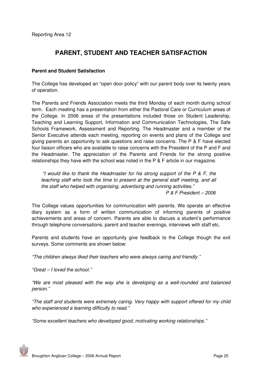## **PARENT, STUDENT AND TEACHER SATISFACTION**

#### **Parent and Student Satisfaction**

The College has developed an "open door policy" with our parent body over its twenty years of operation.

The Parents and Friends Association meets the third Monday of each month during school term. Each meeting has a presentation from either the Pastoral Care or Curriculum areas of the College. In 2006 areas of the presentations included those on Student Leadership, Teaching and Learning Support, Information and Communication Technologies, The Safe Schools Framework, Assessment and Reporting. The Headmaster and a member of the Senior Executive attends each meeting, reporting on events and plans of the College and giving parents an opportunity to ask questions and raise concerns. The  $P \& F$  have elected four liaison officers who are available to raise concerns with the President of the P and F and the Headmaster. The appreciation of the Parents and Friends for the strong positive relationships they have with the school was noted in the P & F article in our magazine.

*"I would like to thank the Headmaster for his strong support of the P & F, the teaching staff who took the time to present at the general staff meeting, and all the staff who helped with organising, advertising and running activities."*

*P & F President – 2006*

The College values opportunities for communication with parents. We operate an effective diary system as a form of written communication of informing parents of positive achievements and areas of concern. Parents are able to discuss a student's performance through telephone conversations, parent and teacher evenings, interviews with staff etc.

Parents and students have an opportunity give feedback to the College though the exit surveys. Some comments are shown below:

*"The children always liked their teachers who were always caring and friendly."*

*"Great – I loved the school."*

*"We are most pleased with the way she is developing as a well-rounded and balanced person."*

*"The staff and students were extremely caring. Very happy with support offered for my child who experienced a learning difficulty to read."*

*"Some excellent teachers who developed good, motivating working relationships."*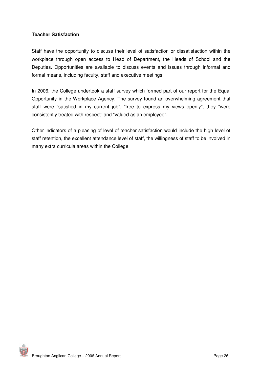#### **Teacher Satisfaction**

Staff have the opportunity to discuss their level of satisfaction or dissatisfaction within the workplace through open access to Head of Department, the Heads of School and the Deputies. Opportunities are available to discuss events and issues through informal and formal means, including faculty, staff and executive meetings.

In 2006, the College undertook a staff survey which formed part of our report for the Equal Opportunity in the Workplace Agency. The survey found an overwhelming agreement that staff were "satisfied in my current job", "free to express my views openly", they "were consistently treated with respect" and "valued as an employee".

Other indicators of a pleasing of level of teacher satisfaction would include the high level of staff retention, the excellent attendance level of staff, the willingness of staff to be involved in many extra curricula areas within the College.

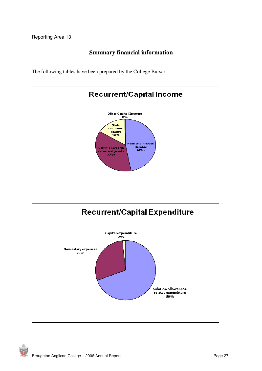## **Summary financial information**

The following tables have been prepared by the College Bursar.



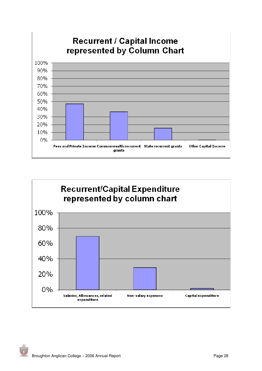



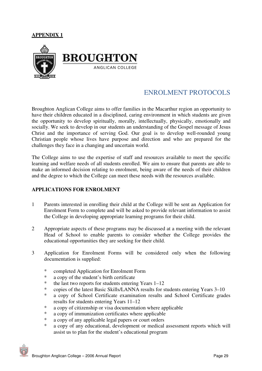#### **APPENDIX 1**



## ENROLMENT PROTOCOLS

Broughton Anglican College aims to offer families in the Macarthur region an opportunity to have their children educated in a disciplined, caring environment in which students are given the opportunity to develop spiritually, morally, intellectually, physically, emotionally and socially. We seek to develop in our students an understanding of the Gospel message of Jesus Christ and the importance of serving God. Our goal is to develop well-rounded young Christian people whose lives have purpose and direction and who are prepared for the challenges they face in a changing and uncertain world.

The College aims to use the expertise of staff and resources available to meet the specific learning and welfare needs of all students enrolled. We aim to ensure that parents are able to make an informed decision relating to enrolment, being aware of the needs of their children and the degree to which the College can meet these needs with the resources available.

#### **APPLICATIONS FOR ENROLMENT**

- 1 Parents interested in enrolling their child at the College will be sent an Application for Enrolment Form to complete and will be asked to provide relevant information to assist the College in developing appropriate learning programs for their child.
- 2 Appropriate aspects of these programs may be discussed at a meeting with the relevant Head of School to enable parents to consider whether the College provides the educational opportunities they are seeking for their child.
- 3 Application for Enrolment Forms will be considered only when the following documentation is supplied:
	- \* completed Application for Enrolment Form
	- \* a copy of the student's birth certificate
	- the last two reports for students entering Years  $1-12$
	- \* copies of the latest Basic Skills/LANNA results for students entering Years 3–10
	- \* a copy of School Certificate examination results and School Certificate grades results for students entering Years 11–12
	- \* a copy of citizenship or visa documentation where applicable
	- a copy of immunization certificates where applicable
	- \* a copy of any applicable legal papers or court orders<br>\* a copy of any educational development or medical
	- a copy of any educational, development or medical assessment reports which will assist us to plan for the student's educational program

Broughton Anglican College – 2006 Annual Report **Page 2006** Annual Report Page 29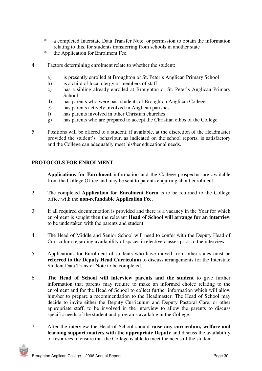- \* a completed Interstate Data Transfer Note, or permission to obtain the information relating to this, for students transferring from schools in another state
- \* the Application for Enrolment Fee.
- 4 Factors determining enrolment relate to whether the student:
	- a) is presently enrolled at Broughton or St. Peter's Anglican Primary School
	- b) is a child of local clergy or members of staff
	- c) has a sibling already enrolled at Broughton or St. Peter's Anglican Primary School
	- d) has parents who were past students of Broughton Anglican College
	- e) has parents actively involved in Anglican parishes
	- f) has parents involved in other Christian churches
	- g) has parents who are prepared to accept the Christian ethos of the College.
- 5 Positions will be offered to a student, if available, at the discretion of the Headmaster provided the student's behaviour, as indicated on the school reports, is satisfactory and the College can adequately meet his/her educational needs.

#### **PROTOCOLS FOR ENROLMENT**

- 1 **Applications for Enrolment** information and the College prospectus are available from the College Office and may be sent to parents enquiring about enrolment.
- 2 The completed **Application for Enrolment Form** is to be returned to the College office with the **non-refundable Application Fee.**
- 3 If all required documentation is provided and there is a vacancy in the Year for which enrolment is sought then the relevant **Head of School will arrange for an interview** to be undertaken with the parents and student.
- 4 The Head of Middle and Senior School will need to confer with the Deputy Head of Curriculum regarding availability of spaces in elective classes prior to the interview.
- 5 Applications for Enrolment of students who have moved from other states must be **referred to the Deputy Head Curriculum** to discuss arrangements for the Interstate Student Data Transfer Note to be completed.
- 6 **The Head of School will interview parents and the student** to give further information that parents may require to make an informed choice relating to the enrolment and for the Head of School to collect further information which will allow him/her to prepare a recommendation to the Headmaster. The Head of School may decide to invite either the Deputy Curriculum and Deputy Pastoral Care, or other appropriate staff, to be involved in the interview to allow the parents to discuss specific needs of the student and programs available in the College.
- 7 After the interview the Head of School should **raise any curriculum, welfare and learning support matters with the appropriate Deputy** and discuss the availability of resources to ensure that the College is able to meet the needs of the student.

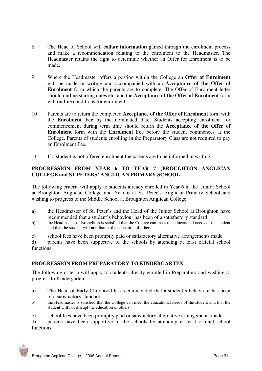- 8 The Head of School will **collate information** gained through the enrolment process and make a recommendation relating to the enrolment to the Headmaster. The Headmaster retains the right to determine whether an Offer for Enrolment is to be made.
- 9 Where the Headmaster offers a postion within the College an **Offer of Enrolment** will be made in writing and accompanied with an **Acceptance of the Offer of Enrolment** form which the parents are to complete. The Offer of Enrolment letter should outline starting dates etc. and the **Acceptance of the Offer of Enrolment** form will outline conditions for enrolment.
- 10 Parents are to return the completed **Acceptance of the Offer of Enrolment** form with the **Enrolment Fee** by the nominated date**.** Students accepting enrolment for commencement during term time should return the **Acceptance of the Offer of Enrolment** form with the **Enrolment Fee** before the student commences at the College. Parents of students enrolling in the Preparatory Class are not required to pay an Enrolment Fee.
- 11 If a student is not offered enrolment the parents are to be informed in writing.

#### **PROGRESSION FROM YEAR 6 TO YEAR 7 (BROUGHTON ANGLICAN COLLEGE and ST PETERS' ANGLICAN PRIMARY SCHOOL)**

The following criteria will apply to students already enrolled in Year 6 in the Junior School at Broughton Anglican College and Year 6 at St. Peter's Anglican Primary School and wishing to progress to the Middle School at Broughton Anglican College:

- a) the Headmaster of St. Peter's and the Head of the Junior School at Broughton have recommended that a student's behaviour has been of a satisfactory standard
- b) the Headmaster of Broughton is satisfied that the College can meet the educational needs of the student and that the student will not disrupt the education of others
- c) school fees have been promptly paid or satisfactory alternative arrangements made

d) parents have been supportive of the schools by attending at least official school functions.

#### **PROGRESSION FROM PREPARATORY TO KINDERGARTEN**

The following criteria will apply to students already enrolled in Preparatory and wishing to progress to Kindergarten:

- a) The Head of Early Childhood has recommended that a student's behaviour has been of a satisfactory standard
- b) the Headmaster is satisfied that the College can meet the educational needs of the student and that the student will not disrupt the education of others
- c) school fees have been promptly paid or satisfactory alternative arrangements made

d) parents have been supportive of the schools by attending at least official school functions.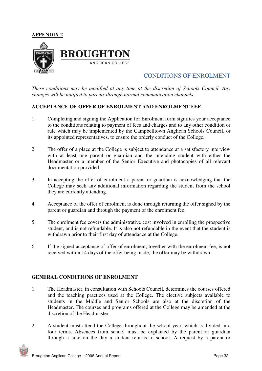#### **APPENDIX 2**



### CONDITIONS OF ENROLMENT

*These conditions may be modified at any time at the discretion of Schools Council. Any changes will be notified to parents through normal communication channels.*

#### **ACCEPTANCE OF OFFER OF ENROLMENT AND ENROLMENT FEE**

- 1. Completing and signing the Application for Enrolment form signifies your acceptance to the conditions relating to payment of fees and charges and to any other condition or rule which may be implemented by the Campbelltown Anglican Schools Council, or its appointed representatives, to ensure the orderly conduct of the College.
- 2. The offer of a place at the College is subject to attendance at a satisfactory interview with at least one parent or guardian and the intending student with either the Headmaster or a member of the Senior Executive and photocopies of all relevant documentation provided.
- 3. In accepting the offer of enrolment a parent or guardian is acknowledging that the College may seek any additional information regarding the student from the school they are currently attending.
- 4. Acceptance of the offer of enrolment is done through returning the offer signed by the parent or guardian and through the payment of the enrolment fee.
- 5. The enrolment fee covers the administrative cost involved in enrolling the prospective student, and is not refundable. It is also not refundable in the event that the student is withdrawn prior to their first day of attendance at the College.
- 6. If the signed acceptance of offer of enrolment, together with the enrolment fee, is not received within 14 days of the offer being made, the offer may be withdrawn.

#### **GENERAL CONDITIONS OF ENROLMENT**

- 1. The Headmaster, in consultation with Schools Council, determines the courses offered and the teaching practices used at the College. The elective subjects available to students in the Middle and Senior Schools are also at the discretion of the Headmaster. The courses and programs offered at the College may be amended at the discretion of the Headmaster.
- 2. A student must attend the College throughout the school year, which is divided into four terms. Absences from school must be explained by the parent or guardian through a note on the day a student returns to school. A request by a parent or

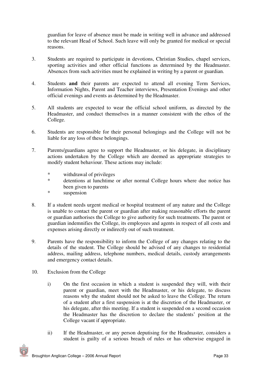guardian for leave of absence must be made in writing well in advance and addressed to the relevant Head of School. Such leave will only be granted for medical or special reasons.

- 3. Students are required to participate in devotions, Christian Studies, chapel services, sporting activities and other official functions as determined by the Headmaster. Absences from such activities must be explained in writing by a parent or guardian.
- 4. Students **and** their parents are expected to attend all evening Term Services, Information Nights, Parent and Teacher interviews, Presentation Evenings and other official evenings and events as determined by the Headmaster.
- 5. All students are expected to wear the official school uniform, as directed by the Headmaster, and conduct themselves in a manner consistent with the ethos of the College.
- 6. Students are responsible for their personal belongings and the College will not be liable for any loss of these belongings.
- 7. Parents/guardians agree to support the Headmaster, or his delegate, in disciplinary actions undertaken by the College which are deemed as appropriate strategies to modify student behaviour. These actions may include:
	- \* withdrawal of privileges
	- detentions at lunchtime or after normal College hours where due notice has been given to parents
	- \* suspension
- 8. If a student needs urgent medical or hospital treatment of any nature and the College is unable to contact the parent or guardian after making reasonable efforts the parent or guardian authorises the College to give authority for such treatments. The parent or guardian indemnifies the College, its employees and agents in respect of all costs and expenses arising directly or indirectly out of such treatment.
- 9. Parents have the responsibility to inform the College of any changes relating to the details of the student. The College should be advised of any changes to residential address, mailing address, telephone numbers, medical details, custody arrangements and emergency contact details.
- 10. Exclusion from the College
	- i) On the first occasion in which a student is suspended they will, with their parent or guardian, meet with the Headmaster, or his delegate, to discuss reasons why the student should not be asked to leave the College. The return of a student after a first suspension is at the discretion of the Headmaster, or his delegate, after this meeting. If a student is suspended on a second occasion the Headmaster has the discretion to declare the students' position at the College vacant if appropriate.
	- ii) If the Headmaster, or any person deputising for the Headmaster, considers a student is guilty of a serious breach of rules or has otherwise engaged in